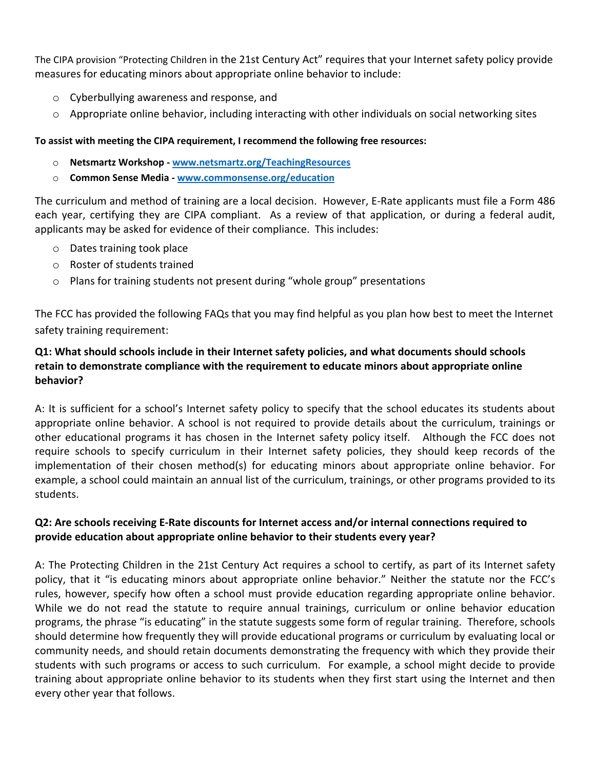The CIPA provision "Protecting Children in the 21st Century Act" requires that your Internet safety policy provide measures for educating minors about appropriate online behavior to include:

- o Cyberbullying awareness and response, and
- $\circ$  Appropriate online behavior, including interacting with other individuals on social networking sites

## **To assist with meeting the CIPA requirement, I recommend the following free resources:**

- o **Netsmartz Workshop ‐ www.netsmartz.org/TeachingResources**
- o **Common Sense Media ‐ www.commonsense.org/education**

The curriculum and method of training are a local decision. However, E‐Rate applicants must file a Form 486 each year, certifying they are CIPA compliant. As a review of that application, or during a federal audit, applicants may be asked for evidence of their compliance. This includes:

- o Dates training took place
- o Roster of students trained
- o Plans for training students not present during "whole group" presentations

The FCC has provided the following FAQs that you may find helpful as you plan how best to meet the Internet safety training requirement:

## **Q1: What should schools include in their Internet safety policies, and what documents should schools retain to demonstrate compliance with the requirement to educate minors about appropriate online behavior?**

A: It is sufficient for a school's Internet safety policy to specify that the school educates its students about appropriate online behavior. A school is not required to provide details about the curriculum, trainings or other educational programs it has chosen in the Internet safety policy itself. Although the FCC does not require schools to specify curriculum in their Internet safety policies, they should keep records of the implementation of their chosen method(s) for educating minors about appropriate online behavior. For example, a school could maintain an annual list of the curriculum, trainings, or other programs provided to its students.

## **Q2: Are schools receiving E‐Rate discounts for Internet access and/or internal connections required to provide education about appropriate online behavior to their students every year?**

A: The Protecting Children in the 21st Century Act requires a school to certify, as part of its Internet safety policy, that it "is educating minors about appropriate online behavior." Neither the statute nor the FCC's rules, however, specify how often a school must provide education regarding appropriate online behavior. While we do not read the statute to require annual trainings, curriculum or online behavior education programs, the phrase "is educating" in the statute suggests some form of regular training. Therefore, schools should determine how frequently they will provide educational programs or curriculum by evaluating local or community needs, and should retain documents demonstrating the frequency with which they provide their students with such programs or access to such curriculum. For example, a school might decide to provide training about appropriate online behavior to its students when they first start using the Internet and then every other year that follows.